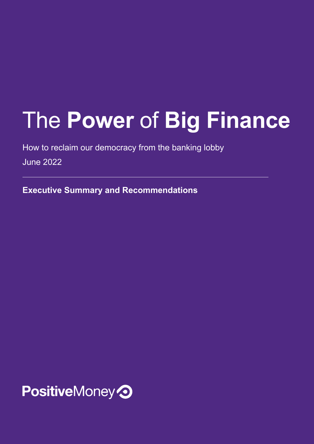# The **Power** of **Big Finance**

How to reclaim our democracy from the banking lobby

June 2022

**Executive Summary and Recommendations**

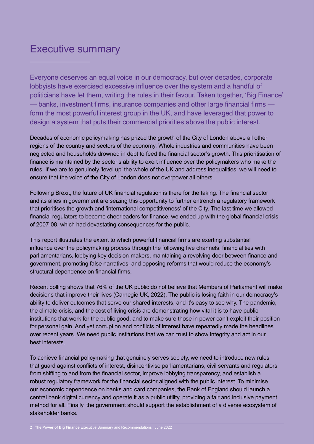## Executive summary

Everyone deserves an equal voice in our democracy, but over decades, corporate lobbyists have exercised excessive influence over the system and a handful of politicians have let them, writing the rules in their favour. Taken together, 'Big Finance' — banks, investment firms, insurance companies and other large financial firms form the most powerful interest group in the UK, and have leveraged that power to design a system that puts their commercial priorities above the public interest.

Decades of economic policymaking has prized the growth of the City of London above all other regions of the country and sectors of the economy. Whole industries and communities have been neglected and households drowned in debt to feed the financial sector's growth. This prioritisation of finance is maintained by the sector's ability to exert influence over the policymakers who make the rules. If we are to genuinely 'level up' the whole of the UK and address inequalities, we will need to ensure that the voice of the City of London does not overpower all others.

Following Brexit, the future of UK financial regulation is there for the taking. The financial sector and its allies in government are seizing this opportunity to further entrench a regulatory framework that prioritises the growth and 'international competitiveness' of the City. The last time we allowed financial regulators to become cheerleaders for finance, we ended up with the global financial crisis of 2007-08, which had devastating consequences for the public.

This report illustrates the extent to which powerful financial firms are exerting substantial influence over the policymaking process through the following five channels: financial ties with parliamentarians, lobbying key decision-makers, maintaining a revolving door between finance and government, promoting false narratives, and opposing reforms that would reduce the economy's structural dependence on financial firms.

Recent polling shows that 76% of the UK public do not believe that Members of Parliament will make decisions that improve their lives (Carnegie UK, 2022). The public is losing faith in our democracy's ability to deliver outcomes that serve our shared interests, and it's easy to see why. The pandemic, the climate crisis, and the cost of living crisis are demonstrating how vital it is to have public institutions that work for the public good, and to make sure those in power can't exploit their position for personal gain. And yet corruption and conflicts of interest have repeatedly made the headlines over recent years. We need public institutions that we can trust to show integrity and act in our best interests.

To achieve financial policymaking that genuinely serves society, we need to introduce new rules that guard against conflicts of interest, disincentivise parliamentarians, civil servants and regulators from shifting to and from the financial sector, improve lobbying transparency, and establish a robust regulatory framework for the financial sector aligned with the public interest. To minimise our economic dependence on banks and card companies, the Bank of England should launch a central bank digital currency and operate it as a public utility, providing a fair and inclusive payment method for all. Finally, the government should support the establishment of a diverse ecosystem of stakeholder banks.

<sup>2</sup> **The Power of Big Finance** Executive Summary and Recommendations June 2022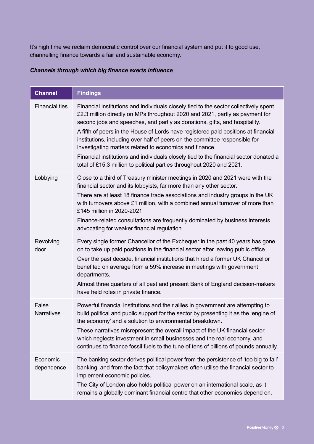It's high time we reclaim democratic control over our financial system and put it to good use, channelling finance towards a fair and sustainable economy.

#### *Channels through which big finance exerts influence*

| <b>Channel</b>             | <b>Findings</b>                                                                                                                                                                                                                                                                                                                                                                                                                                                                                                                                                                                                                                      |
|----------------------------|------------------------------------------------------------------------------------------------------------------------------------------------------------------------------------------------------------------------------------------------------------------------------------------------------------------------------------------------------------------------------------------------------------------------------------------------------------------------------------------------------------------------------------------------------------------------------------------------------------------------------------------------------|
| <b>Financial ties</b>      | Financial institutions and individuals closely tied to the sector collectively spent<br>£2.3 million directly on MPs throughout 2020 and 2021, partly as payment for<br>second jobs and speeches, and partly as donations, gifts, and hospitality.<br>A fifth of peers in the House of Lords have registered paid positions at financial<br>institutions, including over half of peers on the committee responsible for<br>investigating matters related to economics and finance.<br>Financial institutions and individuals closely tied to the financial sector donated a<br>total of £15.3 million to political parties throughout 2020 and 2021. |
| Lobbying                   | Close to a third of Treasury minister meetings in 2020 and 2021 were with the<br>financial sector and its lobbyists, far more than any other sector.<br>There are at least 18 finance trade associations and industry groups in the UK<br>with turnovers above £1 million, with a combined annual turnover of more than<br>£145 million in 2020-2021.<br>Finance-related consultations are frequently dominated by business interests<br>advocating for weaker financial regulation.                                                                                                                                                                 |
| Revolving<br>door          | Every single former Chancellor of the Exchequer in the past 40 years has gone<br>on to take up paid positions in the financial sector after leaving public office.<br>Over the past decade, financial institutions that hired a former UK Chancellor<br>benefited on average from a 59% increase in meetings with government<br>departments.<br>Almost three quarters of all past and present Bank of England decision-makers<br>have held roles in private finance.                                                                                                                                                                                 |
| False<br><b>Narratives</b> | Powerful financial institutions and their allies in government are attempting to<br>build political and public support for the sector by presenting it as the 'engine of<br>the economy' and a solution to environmental breakdown.<br>These narratives misrepresent the overall impact of the UK financial sector,<br>which neglects investment in small businesses and the real economy, and<br>continues to finance fossil fuels to the tune of tens of billions of pounds annually.                                                                                                                                                              |
| Economic<br>dependence     | The banking sector derives political power from the persistence of 'too big to fail'<br>banking, and from the fact that policymakers often utilise the financial sector to<br>implement economic policies.<br>The City of London also holds political power on an international scale, as it<br>remains a globally dominant financial centre that other economies depend on.                                                                                                                                                                                                                                                                         |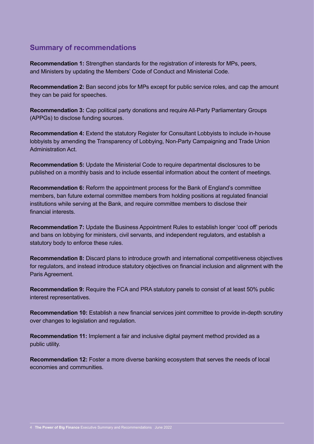### **Summary of recommendations**

**Recommendation 1:** Strengthen standards for the registration of interests for MPs, peers, and Ministers by updating the Members' Code of Conduct and Ministerial Code.

**Recommendation 2:** Ban second jobs for MPs except for public service roles, and cap the amount they can be paid for speeches.

**Recommendation 3:** Cap political party donations and require All-Party Parliamentary Groups (APPGs) to disclose funding sources.

**Recommendation 4:** Extend the statutory Register for Consultant Lobbyists to include in-house lobbyists by amending the Transparency of Lobbying, Non-Party Campaigning and Trade Union Administration Act.

**Recommendation 5:** Update the Ministerial Code to require departmental disclosures to be published on a monthly basis and to include essential information about the content of meetings.

**Recommendation 6:** Reform the appointment process for the Bank of England's committee members, ban future external committee members from holding positions at regulated financial institutions while serving at the Bank, and require committee members to disclose their financial interests.

**Recommendation 7:** Update the Business Appointment Rules to establish longer 'cool off' periods and bans on lobbying for ministers, civil servants, and independent regulators, and establish a statutory body to enforce these rules.

**Recommendation 8:** Discard plans to introduce growth and international competitiveness objectives for regulators, and instead introduce statutory objectives on financial inclusion and alignment with the Paris Agreement.

**Recommendation 9:** Require the FCA and PRA statutory panels to consist of at least 50% public interest representatives.

**Recommendation 10:** Establish a new financial services joint committee to provide in-depth scrutiny over changes to legislation and regulation.

**Recommendation 11:** Implement a fair and inclusive digital payment method provided as a public utility.

**Recommendation 12:** Foster a more diverse banking ecosystem that serves the needs of local economies and communities.